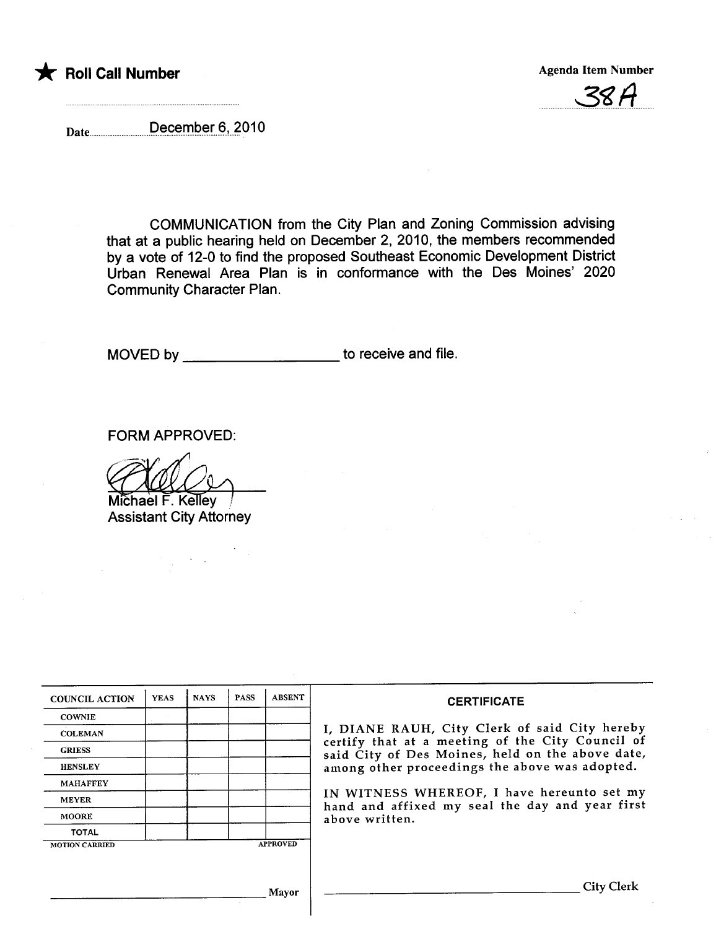





Date\_\_\_\_\_\_\_\_\_\_December 6, 2010

COMMUNICATION from the City Plan and Zoning Commission advising that at a public hearing held on December 2,2010, the members recommended by a vote of 12-0 to find the proposed Southeast Economic Development District Urban Renewal Area Plan is in conformance with the Des Moines' 2020 Community Character Plan.

MOVED by \_\_\_\_\_\_\_\_\_\_\_\_\_\_\_\_\_\_\_\_\_\_\_\_\_\_\_\_ to receive and file.

FORM APPROVED:

FORM APPROVED:<br>Michael F. Kelley<br>Accident City Attorney

Assistant City Attorney

| <b>COUNCIL ACTION</b> | <b>YEAS</b> | <b>NAYS</b> | <b>PASS</b> | <b>ABSENT</b>   | <b>CERTIFICATE</b>                                                                                                                                                                                                                                                                                       |  |  |  |  |
|-----------------------|-------------|-------------|-------------|-----------------|----------------------------------------------------------------------------------------------------------------------------------------------------------------------------------------------------------------------------------------------------------------------------------------------------------|--|--|--|--|
| <b>COWNIE</b>         |             |             |             |                 |                                                                                                                                                                                                                                                                                                          |  |  |  |  |
| <b>COLEMAN</b>        |             |             |             |                 | I, DIANE RAUH, City Clerk of said City hereby<br>certify that at a meeting of the City Council of<br>said City of Des Moines, held on the above date,<br>among other proceedings the above was adopted.<br>IN WITNESS WHEREOF, I have hereunto set my<br>hand and affixed my seal the day and year first |  |  |  |  |
| <b>GRIESS</b>         |             |             |             |                 |                                                                                                                                                                                                                                                                                                          |  |  |  |  |
| <b>HENSLEY</b>        |             |             |             |                 |                                                                                                                                                                                                                                                                                                          |  |  |  |  |
| <b>MAHAFFEY</b>       |             |             |             |                 |                                                                                                                                                                                                                                                                                                          |  |  |  |  |
| <b>MEYER</b>          |             |             |             |                 |                                                                                                                                                                                                                                                                                                          |  |  |  |  |
| <b>MOORE</b>          |             |             |             |                 | above written.                                                                                                                                                                                                                                                                                           |  |  |  |  |
| <b>TOTAL</b>          |             |             |             |                 |                                                                                                                                                                                                                                                                                                          |  |  |  |  |
| <b>MOTION CARRIED</b> |             |             |             | <b>APPROVED</b> |                                                                                                                                                                                                                                                                                                          |  |  |  |  |
|                       |             |             |             |                 |                                                                                                                                                                                                                                                                                                          |  |  |  |  |
|                       |             |             |             | Mavor           | City Clerk                                                                                                                                                                                                                                                                                               |  |  |  |  |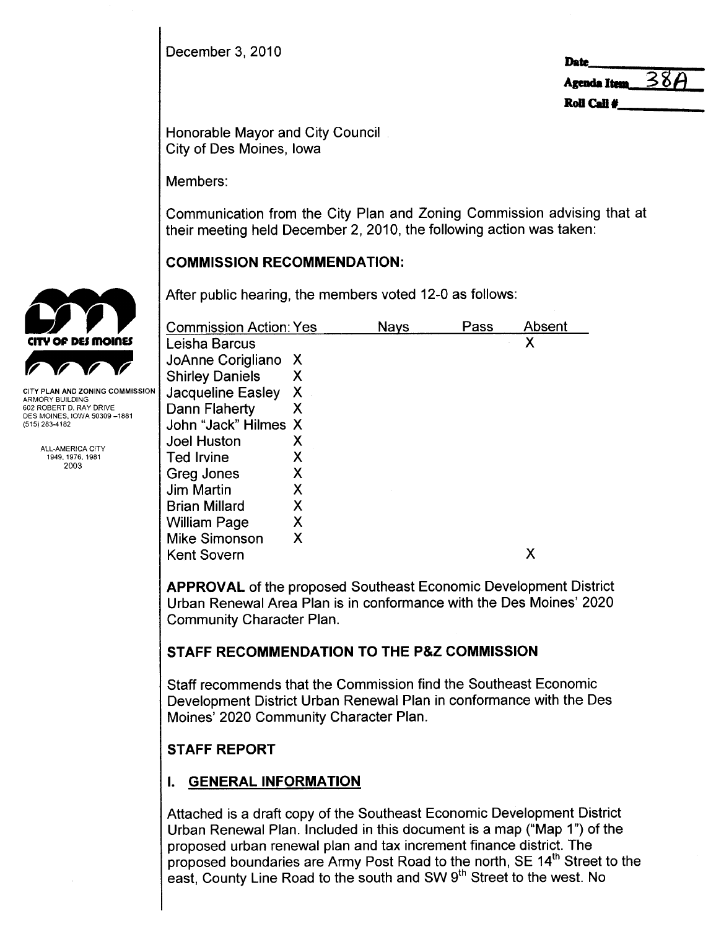December 3, 2010

| <b>Date</b>       |  |
|-------------------|--|
| Agenda Item $38A$ |  |
| Roll Call $\#$    |  |

Honorable Mayor and City Council City of Des Moines, Iowa

Members:

Communication from the City Plan and Zoning Commission advising that at their meeting held December 2, 2010, the following action was taken:

# COMMISSION RECOMMENDATION:

After public hearing, the members voted 12-0 as follows:

| <b>Commission Action: Yes</b> |   | Nays | Pass | Absent |
|-------------------------------|---|------|------|--------|
| Leisha Barcus                 |   |      |      | Χ      |
| JoAnne Corigliano X           |   |      |      |        |
| <b>Shirley Daniels</b>        | X |      |      |        |
| <b>Jacqueline Easley</b>      | X |      |      |        |
| Dann Flaherty                 | Χ |      |      |        |
| John "Jack" Hilmes X          |   |      |      |        |
| <b>Joel Huston</b>            | X |      |      |        |
| <b>Ted Irvine</b>             | Χ |      |      |        |
| <b>Greg Jones</b>             | Х |      |      |        |
| <b>Jim Martin</b>             | Χ |      |      |        |
| <b>Brian Millard</b>          | Χ |      |      |        |
| <b>William Page</b>           | X |      |      |        |
| <b>Mike Simonson</b>          | X |      |      |        |
| <b>Kent Sovern</b>            |   |      |      | Х      |
|                               |   |      |      |        |

APPROVAL of the proposed Southeast Economic Development District Urban Renewal Area Plan is in conformance with the Des Moines' 2020 Community Character Plan.

# STAFF RECOMMENDATION TO THE P&Z COMMISSION

Staff recommends that the Commission find the Southeast Economic Development District Urban Renewal Plan in conformance with the Des Moines' 2020 Community Character Plan.

# STAFF REPORT

# I. GENERAL INFORMATION

Attached is a draft copy of the Southeast Economic Development District Urban Renewal Plan. Included in this document is a map ("Map 1") of the proposed urban renewal plan and tax increment finance district. The proposed boundaries are Army Post Road to the north, SE 14<sup>th</sup> Street to the east, County Line Road to the south and SW 9<sup>th</sup> Street to the west. No



ARMORY BUILDING 602 ROBERT D. RAY DRIVE DES MOINES, IOWA 50309-1881 (515) 283-4182

> ALL-AMERICA CITY 1949,1976,1981 2003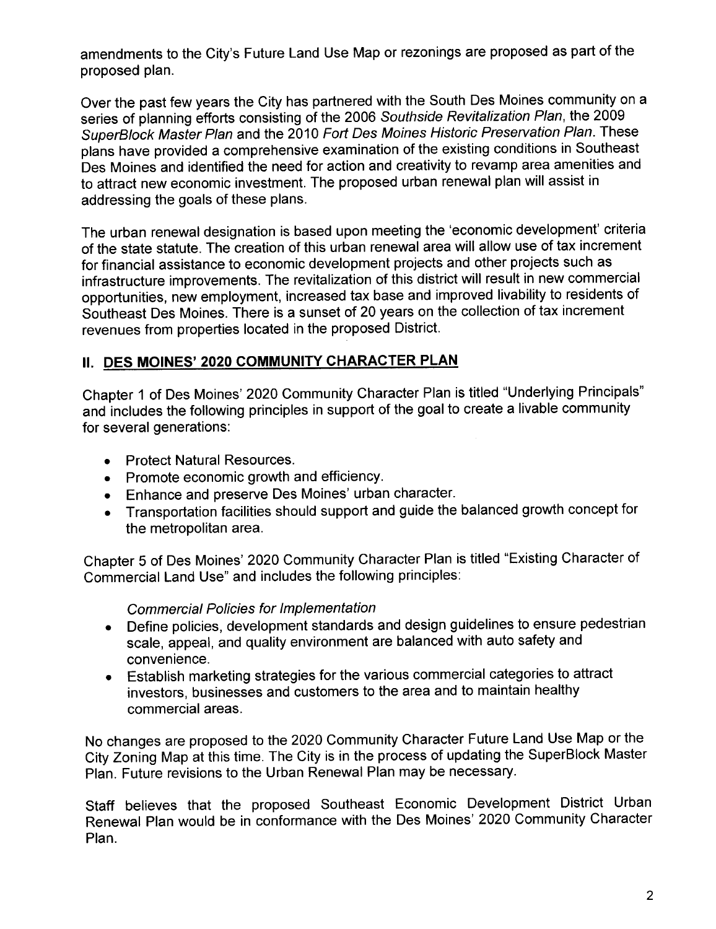amendments to the City's Future Land Use Map or rezonings are proposed as part of the proposed plan.

Over the past few years the City has partnered with the South Des Moines community on a series of planning efforts consisting of the 2006 Southside Revitalization Plan, the 2009 SuperBlock Master Plan and the 2010 Fort Des Moines Historic Preservation Plan. These plans have provided a comprehensive examination of the existing conditions in Southeast Des Moines and identified the need for action and creativity to revamp area amenities and to attract new economic investment. The proposed urban renewal plan will assist in addressing the goals of these plans,

The urban renewal designation is based upon meeting the 'economic development' criteria of the state statute. The creation of this urban renewal area will allow use of tax increment for financial assistance to economic development projects and other projects such as infrastructure improvements. The revitalization of this district will result in new commercial opportunities, new employment, increased tax base and improved livability to residents of Southeast Des Moines. There is a sunset of 20 years on the collection of tax increment revenues from properties located in the proposed District.

# II. DES MOINES' 2020 COMMUNITY CHARACTER PLAN

Chapter 1 of Des Moines' 2020 Community Character Plan is titled "Underlying Principals" and includes the following principles in support of the goal to create a livable community for several generations:

- . Protect Natural Resources.
- Promote economic growth and efficiency.
- . Enhance and preserve Des Moines' urban character.
- . Transportation facilities should support and guide the balanced growth concept for the metropolitan area,

Chapter 5 of Des Moines' 2020 Community Character Plan is titled "Existing Character of Commercial Land Use" and includes the following principles:

# Commercial Policies for Implementation

- . Define policies, development standards and design guidelines to ensure pedestrian scale, appeal, and quality environment are balanced with auto safety and convenience.
- . Establish marketing strategies for the various commercial categories to attract investors, businesses and customers to the area and to maintain healthy commercial areas.

No changes are proposed to the 2020 Community Character Future Land Use Map or the City Zoning Map at this time, The City is in the process of updating the SuperBlock Master Plan. Future revisions to the Urban Renewal Plan may be necessary.

Staff believes that the proposed Southeast Economic Development District Urban Renewal Plan would be in conformance with the Des Moines' 2020 Community Character Plan.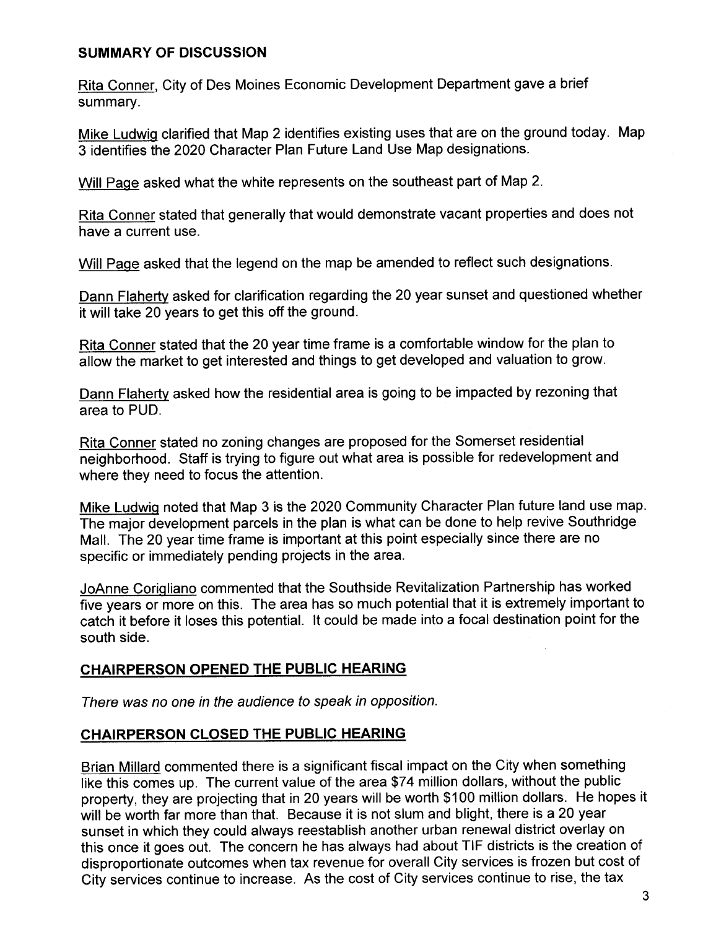# SUMMARY OF DISCUSSION

Rita Conner, City of Des Moines Economic Development Department gave a brief summary.

Mike Ludwiq clarified that Map 2 identifies existing uses that are on the ground today. Map 3 identifies the 2020 Character Plan Future Land Use Map designations.

Will Paqe asked what the white represents on the southeast part of Map 2.

Rita Conner stated that generally that would demonstrate vacant properties and does not have a current use.

Will Paqe asked that the legend on the map be amended to reflect such designations.

Dann Flaherty asked for clarification regarding the 20 year sunset and questioned whether it will take 20 years to get this off the ground.

Rita Conner stated that the 20 year time frame is a comfortable window for the plan to allow the market to get interested and things to get developed and valuation to grow.

Dann Flaherty asked how the residential area is going to be impacted by rezoning that area to PUD.

Rita Conner stated no zoning changes are proposed for the Somerset residential neighborhood. Staff is trying to figure out what area is possible for redevelopment and where they need to focus the attention.

Mike Ludwiq noted that Map 3 is the 2020 Community Character Plan future land use map. The major development parcels in the plan is what can be done to help revive Southridge MalL. The 20 year time frame is important at this point especially since there are no specific or immediately pending projects in the area.

JoAnne Coriqliano commented that the Southside Revitalization Partnership has worked five years or more on this. The area has so much potential that it is extremely important to catch it before it loses this potential. It could be made into a focal destination point for the south side.

## CHAIRPERSON OPENED THE PUBLIC HEARING

There was no one in the audience to speak in opposition.

## CHAIRPERSON CLOSED THE PUBLIC HEARING

Brian Millard commented there is a significant fiscal impact on the City when something like this comes up. The current value of the area \$74 million dollars, without the public property, they are projecting that in 20 years will be worth \$100 million dollars. He hopes it will be worth far more than that. Because it is not slum and blight, there is a 20 year sunset in which they could always reestablish another urban renewal district overlay on this once it goes out. The concern he has always had about TIF districts is the creation of disproportionate outcomes when tax revenue for overall City services is frozen but cost of City services continue to increase. As the cost of City services continue to rise, the tax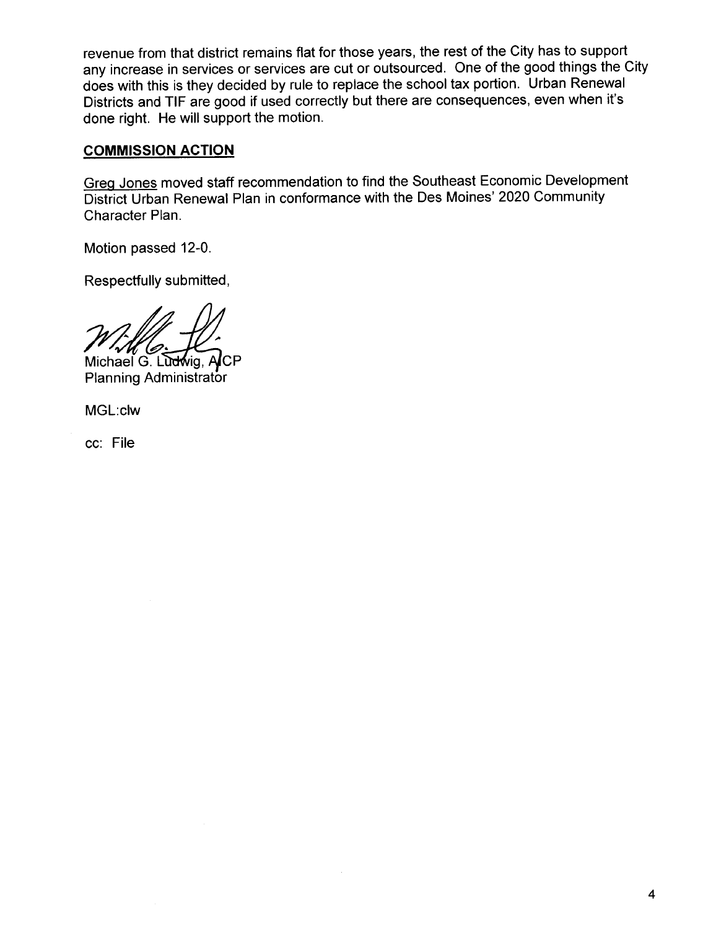revenue from that district remains flat for those years, the rest of the City has to support any increase in services or services are cut or outsourced, One of the good things the City does with this is they decided by rule to replace the school tax portion. Urban Renewal Districts and TIF are good if used correctly but there are consequences, even when it's done right. He will support the motion.

# COMMISSION ACTION

Greq Jones moved staff recommendation to find the Southeast Economic Development District Urban Renewal Plan in conformance with the Des Moines' 2020 Community Character Plan.

Motion passed 12-0.

Respectfully submitted,

Michael G. Ludwig, ACP<br>Planning Administrator

MGL:clw

cc: File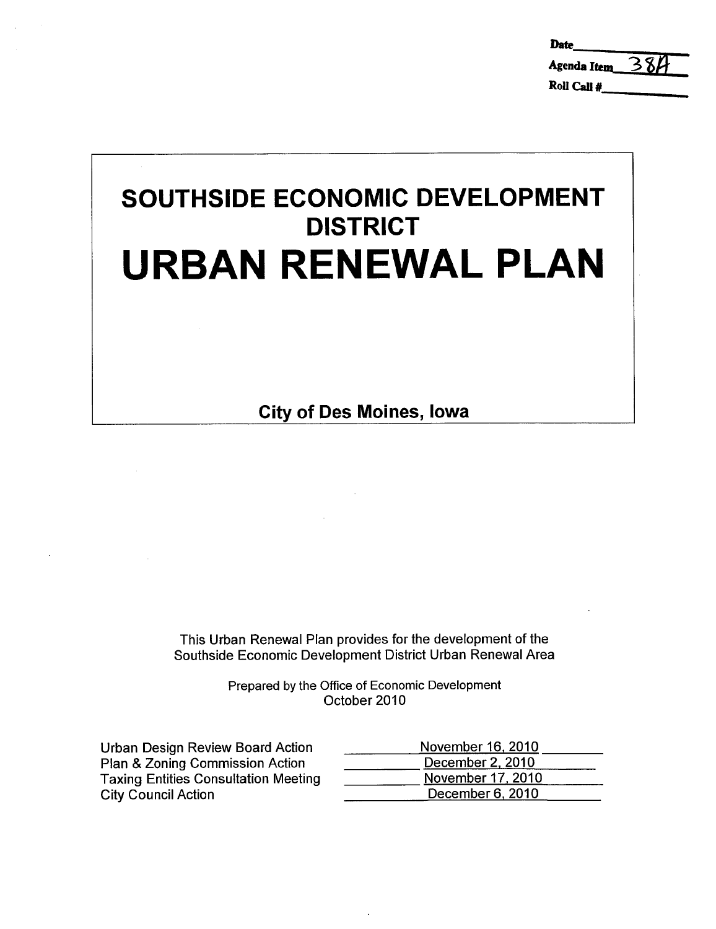| <b>Date</b>        |     |
|--------------------|-----|
| <b>Agenda Item</b> | 384 |
| Roll Call #        |     |

# SOUTHSIDE ECONOMIC DEVELOPMENT **DISTRICT** URBAN RENEWAL PLAN

City of Des Moines, Iowa

This Urban Renewal Plan provides for the development of the Southside Economic Development District Urban Renewal Area

> Prepared by the Office of Economic Development October 2010

| Urban Design Review Board Action            | November 16, 2010 |
|---------------------------------------------|-------------------|
| Plan & Zoning Commission Action             | December 2, 2010  |
| <b>Taxing Entities Consultation Meeting</b> | November 17, 2010 |
| <b>City Council Action</b>                  | December 6, 2010  |
|                                             |                   |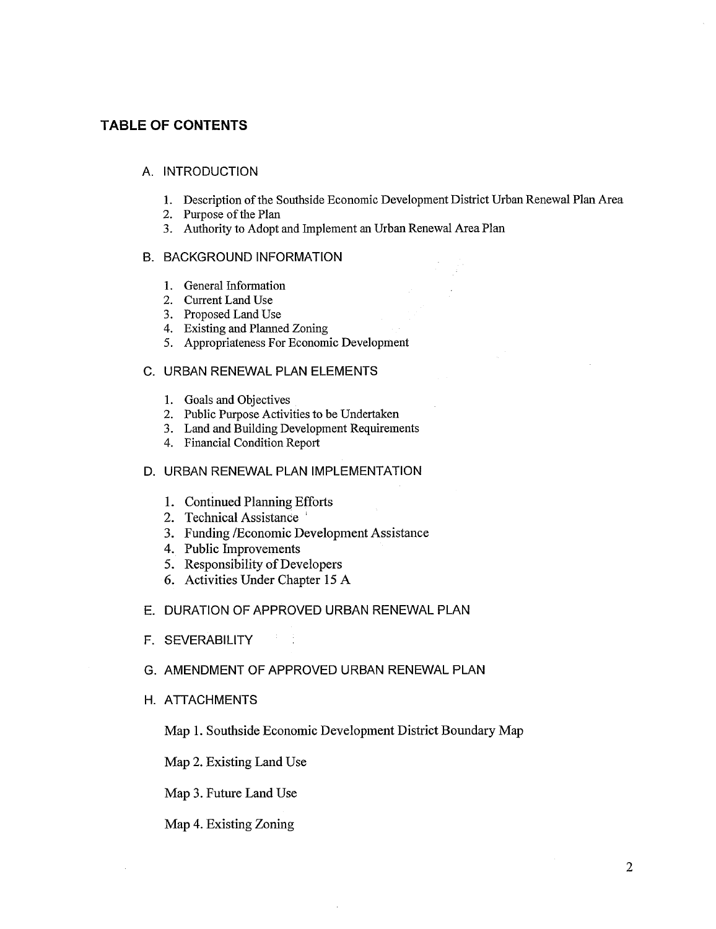#### TABLE OF CONTENTS

#### A. INTRODUCTION

- 1. Description of the Southside Economic Development District Urban Renewal Plan Area
- 2. Purpose of the Plan
- 3. Authority to Adopt and Implement an Urban Renewal Area Plan

#### B. BACKGROUND INFORMATION

- 1. General Information
- 2. Current Land Use
- 3. Proposed Land Use
- 4. Existing and Planed Zoning
- 5. Appropriateness For Economic Development

#### C. URBAN RENEWAL PLAN ELEMENTS

- 1. Goals and Objectives
- 2. Public Purose Activities to be Undertaken
- 3. Land and Building Development Requirements
- 4. Financial Condition Report

#### D. URBAN RENEWAL PLAN IMPLEMENTATION

- 1. Continued Planning Efforts
- 2. Technical Assistance
- 3. Funding /Economic Development Assistance
- 4. Public Improvements
- 5. Responsibility of Developers
- 6. Activities Under Chapter 15 A

#### E. DURATION OF APPROVED URBAN RENEWAL PLAN

3 H

F. SEVERABILITY

#### G. AMENDMENT OF APPROVED URBAN RENEWAL PLAN

H. ATTACHMENTS

Map 1. Southside Economic Development District Boundary Map

Map 2. Existing Land Use

Map 3. Future Land Use

Map 4. Existing Zoning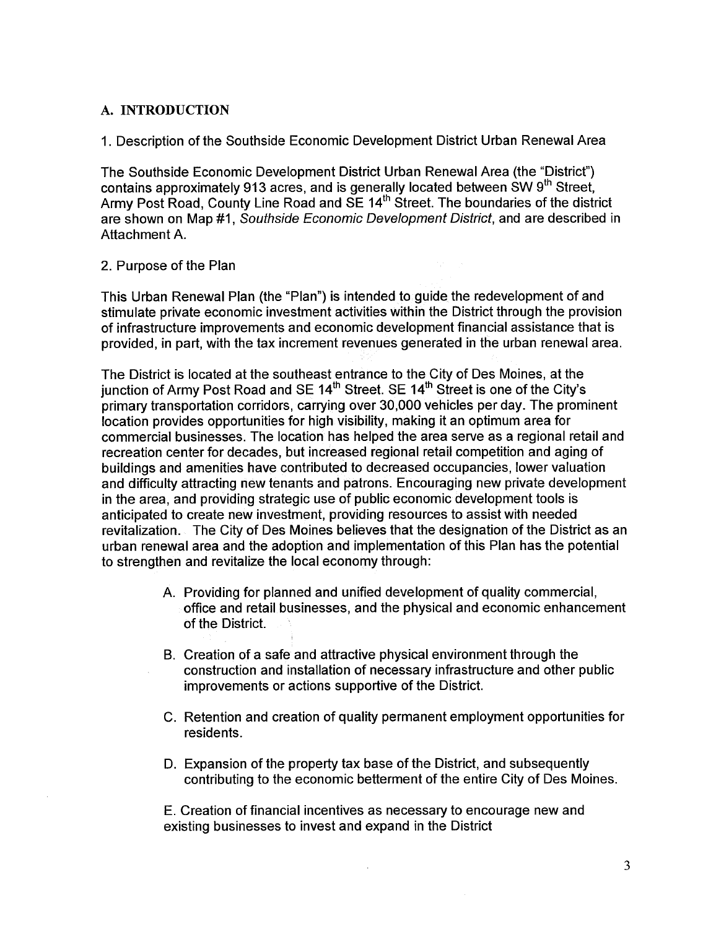#### A. INTRODUCTION

1. Description of the Southside Economic Development District Urban Renewal Area

The Southside Economic Development District Urban Renewal Area (the "District") contains approximately 913 acres, and is generally located between SW 9<sup>th</sup> Street, Army Post Road, County Line Road and SE 14<sup>th</sup> Street. The boundaries of the district are shown on Map #1, Southside Economic Development District, and are described in Attachment A.

#### 2. Purpose of the Plan

This Urban Renewal Plan (the "Plan") is intended to.guide the redevelopment of and stimulate private economic investment activities within the District through the provision of infrastructure improvements and economic development financial assistance that is provided, in part, with the tax increment revenues generated in the urban renewal area.

The District is located at the southeast entrance to the City of Des Moines, at the junction of Army Post Road and SE  $14<sup>th</sup>$  Street. SE  $14<sup>th</sup>$  Street is one of the City's primary transportation corridors, carrying over 30,000 vehicles per day. The prominent location provides opportunities for high visibility, making it an optimum area for commercial businesses. The location has helped the area serve as a regional retail and recreation center for decades, but increased regional retail competition and aging of buildings and amenities have contributed to decreased occupancies, lower valuation and difficulty attracting new tenants and patrons. Encouraging new private development in the area, and providing strategic use of public economic development tools is anticipated to create new investment, providing resources to assist with needed revitalization. The City of Des Moines believes that the designation of the District as an urban renewal area and the adoption and implementation of this Plan has the potential to strengthen and revitalize the local economy through:

- A. Providing for planned and unified development of quality commercial, office and retail businesses, and the physical and economic enhancement of the District.
- B. Creation of a safe and attractive physical environment through the construction and installation of necessary infrastructure and other public improvements or actions supportive of the District.
- C. Retention and creation of quality permanent employment opportunities for residents.
- D. Expansion of the property tax base of the District, and subsequently contributing to the economic betterment of the entire City of Des Moines.

E. Creation of financial incentives as necessary to encourage new and existing businesses to invest and expand in the District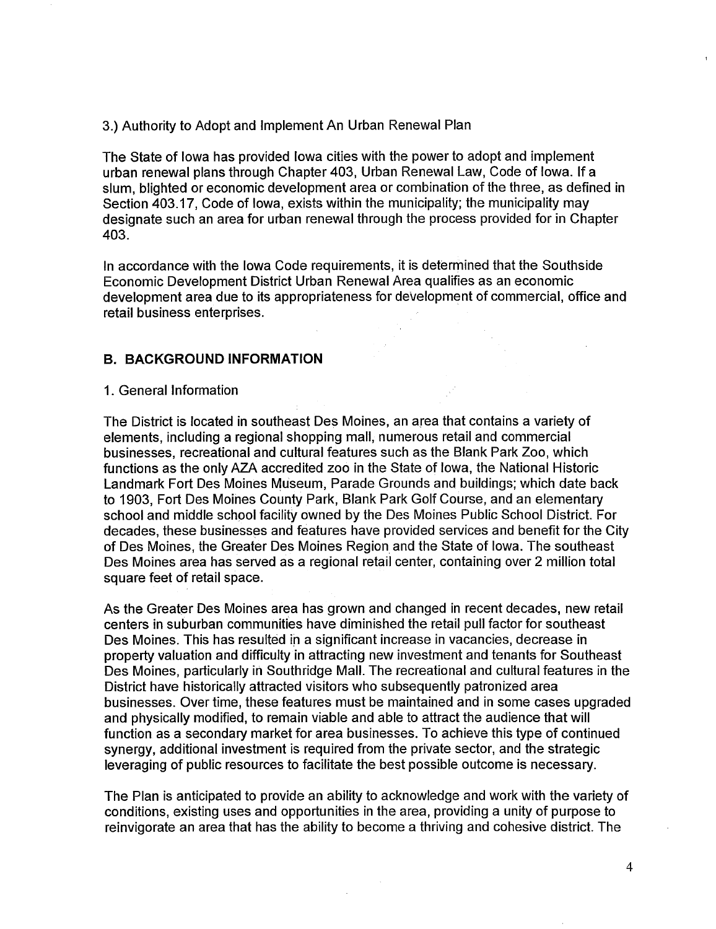#### 3.) Authority to Adopt and Implement An Urban Renewal Plan

The State of Iowa has provided Iowa cities with the power to adopt and implement urban renewal plans through Chapter 403, Urban Renewal Law, Code of Iowa. If a slum, blighted or economic development area or combination of the three, as defined in Section 403.17, Code of Iowa, exists within the municipality; the municipality may designate such an area for urban renewal through the process provided for in Chapter 403.

In accordance with the Iowa Code requirements, it is determined that the Southside Economic Development District Urban Renewal Area qualifies as an economic development area due to its appropriateness for development of commercial, office and retail business enterprises.

#### B. BACKGROUND INFORMATION

#### 1. General Information

The District is located in southeast Des Moines, an area that contains a variety of elements, including a regional shopping mall, numerous retail and commercial businesses, recreational and cultural features such as the Blank Park Zoo, which functions as the only AZA accredited zoo in the State of Iowa, the National Historic Landmark Fort Des Moines Museum, Parade Grounds and buildings; which date back to 1903, Fort Des Moines County Park, Blank Park Golf Course, and an elementary school and middle school facility owned by the Des Moines Public School District. For decades, these businesses and features have provided services and benefit for the City of Des Moines, the Greater Des Moines Region and the State of Iowa. The southeast Des Moines area has served as a regional retail center, containing over 2 milion total square feet of retail space.

As the Greater Des Moines area has grown and changed in recent decades, new retail centers in suburban communities have diminished the retail pull factor for southeast Des Moines. This has resulted in a significant increase in vacancies, decrease in property valuation and difficulty in attracting new investment and tenants for Southeast Des Moines, particularly in Southridge Mall. The recreational and cultural features in the District have historically attracted visitors who subsequently patronized area businesses. Over time, these features must be maintained and in some cases upgraded and physically modified, to remain viable and able to attract the audience that will function as a secondary market for area businesses. To achieve this type of continued synergy, additional investment is required from the private sector, and the strategic leveraging of public resources to faciltate the best possible outcome is necessary.

The Plan is anticipated to provide an ability to acknowledge and work with the variety of conditions, existing uses and opportunities in the area, providing a unity of purpose to reinvigorate an area that has the ability to become a thriving and cohesive district. The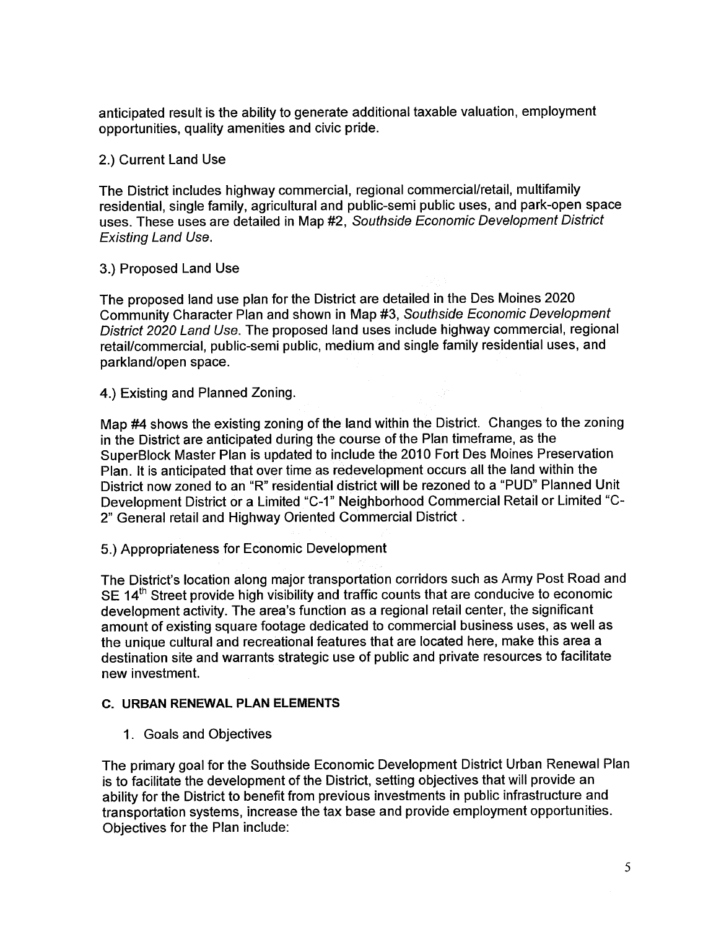anticipated result is the ability to generate additional taxable valuation, employment opportunities, quality amenities and civic pride.

## 2.) Current Land Use

The District includes highway commercial, regional commercial/retail, multifamily residential, single family, agricultural and public-semi public uses, and park-open space uses. These uses are detailed in Map #2, Southside Economic Development District Existing Land Use.

#### 3.) Proposed Land Use

The proposed land use plan for the District are detailed in the Des Moines 2020 Community Character Plan and shown in Map #3, Southside Economic Development District 2020 Land Use. The proposed land uses include highway commercial, regional retail/commercial, public-semi public, medium and single family residential uses, and parkland/open space.

4.) Existing and Planned Zoning.

Map #4 shows the existing zoning of the land within the District. Changes to the zoning in the District are anticipated during the course of the Plan timeframe, as the SuperBlock Master Plan is updated to include the 2010 Fort Des Moines Preservation Plan. It is anticipated that over time as redevelopment occurs all the land within the District now zoned to an "R" residential district wil be rezoned to a "PUD" Planned Unit Development District or a Limited "C-1" Neighborhood Commercial Retail or Limited "C-2" General retail and Highway Oriented Commercial District.

5.) Appropriateness for Economic Development

The District's location along major transportation corridors such as Army Post Road and SE  $14<sup>th</sup>$  Street provide high visibility and traffic counts that are conducive to economic development activity. The area's function as a regional retail center, the significant amount of existing square footage dedicated to commercial business uses, as well as the unique cultural and recreational features that are located here, make this area a destination site and warrants strategic use of public and private resources to facilitate new investment.

#### c. URBAN RENEWAL PLAN ELEMENTS

1. Goals and Objectives

The primary goal for the Southside Economic Development District Urban Renewal Plan is to facilitate the development of the District, setting objectives that will provide an ability for the District to benefit from previous investments in public infrastructure and transportation systems, increase the tax base and provide employment opportunities. Objectives for the Plan include: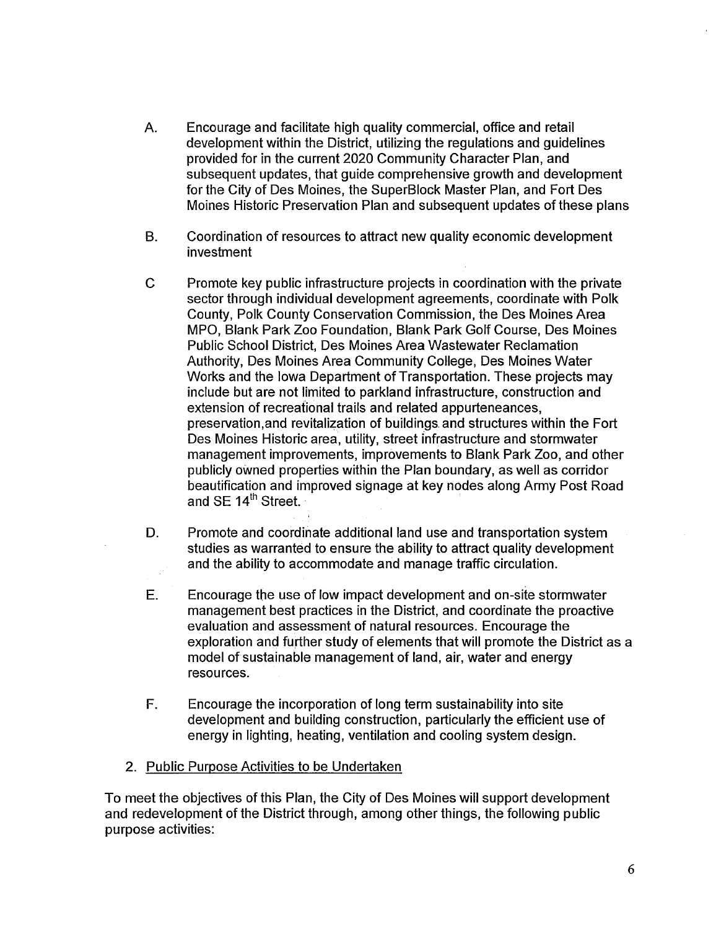- A. Encourage and facilitate high quality commercial, office and retail development within the District, utilizing the regulations and guidelines provided for in the current 2020 Community Character Plan, and subsequent updates, that guide comprehensive growth and development for the City of Des Moines, the SuperBlock Master Plan, and Fort Des Moines Historic Preservation Plan and subsequent updates of these plans
- B. Coordination of resources to attract new quality economic development investment
- C Promote key public infrastructure projects in coordination with the private sector through individual development agreements, coordinate with Polk County, Polk County Conservation Commission, the Des Moines Area MPO, Blank Park Zoo Foundation, Blank Park Golf Course, Des Moines Public School District, Des Moines Area Wastewater Reclamation Authority, Des Moines Area Community College, Des Moines Water Works and the Iowa Department of Transportation. These projects may include but are not limited to parkland infrastructure, construction and extension of recreational trails and related appurteneances, preservation, and revitalization of buildings and structures within the Fort Des Moines Historic area, utility, street infrastructure and stormwater management improvements, improvements to Blank Park Zoo, and other publicly owned properties within the Plan boundary, as well as corridor beautification and improved signage at key nodes along Army Post Road and SE 14<sup>th</sup> Street.
- D. Promote and coordinate additional land use and transportation system studies as warranted to ensure the ability to attract quality development and the ability to accommodate and manage traffic circulation.
- E. Encourage the use of low impact development and on-site stormwater management best practices in the District, and coordinate the proactive evaluation and assessment of natural resources. Encourage the exploration and further study of elements that will promote the District as a model of sustainable management of land, air, water and energy resources.
- F. Encourage the incorporation of long term sustainabilty into site development and building construction, particularly the efficient use of energy in lighting, heating, ventilation and cooling system design.
- 2. Public Purpose Activities to be Undertaken

To meet the objectives of this Plan, the City of Des Moines wil support development and redevelopment of the District through, among other things, the following public purpose activities: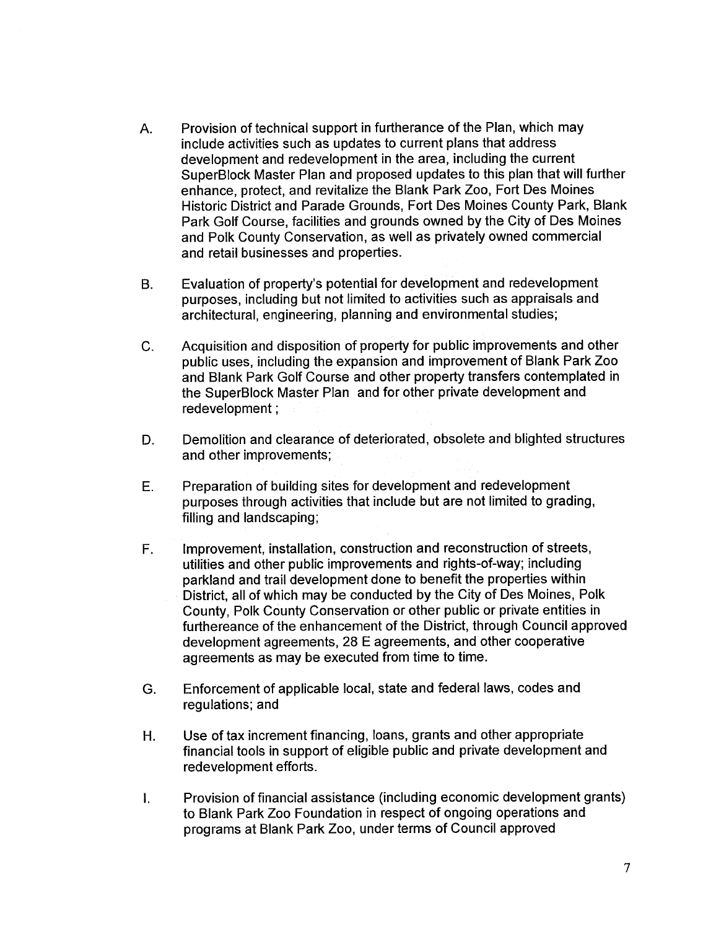- A. Provision of technical support in furtherance of the Plan, which may include activities such as updates to current plans that address development and redevelopment in the area, including the current SuperBlock Master Plan and proposed updates to this plan that will further enhance, protect, and revitalize the Blank Park Zoo, Fort Des Moines Historic District and Parade Grounds, Fort Des Moines County Park, Blank Park Golf Course, facilities and grounds owned by the City of Des Moines and Polk County Conservation, as well as privately owned commercial and retail businesses and properties.
- B. Evaluation of property's potential for development and redevelopment purposes, including but not limited to activities such as appraisals and architectural, engineering, planning and environmental studies;
- C. Acquisition and disposition of property for public improvements and other public uses, including the expansion and improvement of Blank Park Zoo and Blank Park Golf Course and other property transfers contemplated in the SuperBlock Master Plan and for other private development and redevelopment;
- D. Demoliion and clearance of deteriorated, obsolete and blighted structures and other improvements;
- E. Preparation of building sites for development and redevelopment purposes through activities that include but are not limited to grading, filling and landscaping;
- F. Improvement, installation, construction and reconstruction of streets, utilities and other public improvements and rights-of-way; including parkland and trail development done to benefit the properties within District, all of which may be conducted by the City of Des Moines, Polk County, Polk County Conservation or other public or private entities in furthereance of the enhancement of the District, through Council approved development agreements, 28 E agreements, and other cooperative agreements as may be executed from time to time.
- G. Enforcement of applicable local, state and federal laws, codes and regulations; and
- H. Use of tax increment financing, loans, grants and other appropriate financial tools in support of eligible public and private development and redevelopment efforts.
- i. Provision of financial assistance (including economic development grants) to Blank Park Zoo Foundation in respect of ongoing operations and programs at Blank Park Zoo, under terms of Council approved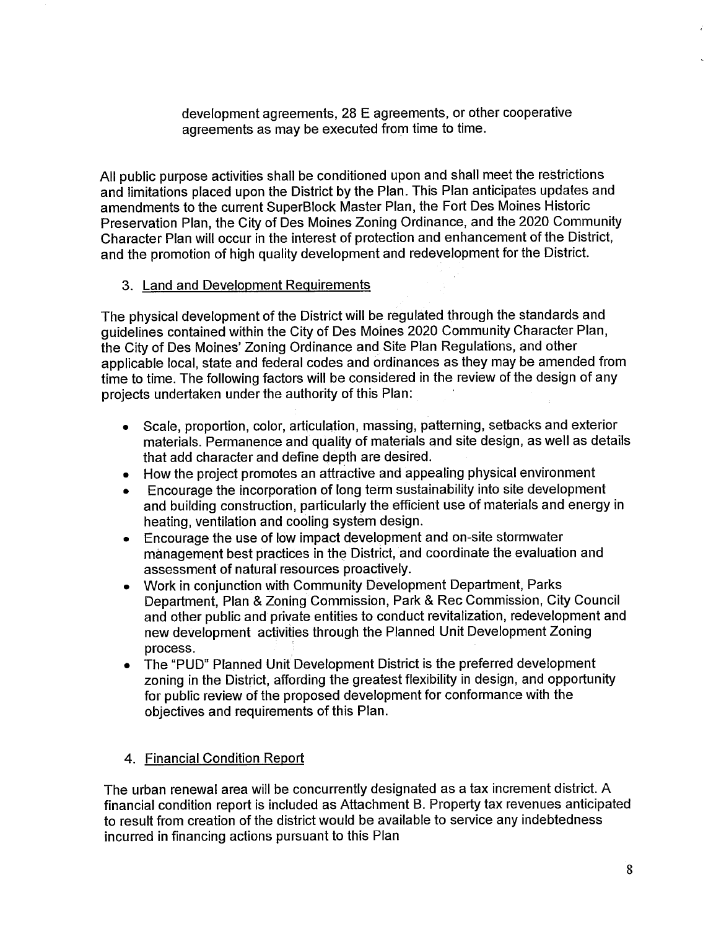development agreements, 28 E agreements, or other cooperative agreements as may be executed from time to time.

All public purpose activities shall be conditioned upon and shall meet the restrictions and limitations placed upon the District by the Plan. This Plan anticipates updates and amendments to the current SuperBlock Master Plan, the Fort Des Moines Historic Preservation Plan, the City of Des Moines Zoning Ordinance, and the 2020 Community Character Plan wil occur in the interest of protection and enhancement of the District, and the promotion of high quality development and redevelopment for the District.

## 3. Land and Development Requirements

The physical development of the District will be regulated through the standards and guidelines contained within the City of Des Móines 2020 Community Character Plan, the City of Des Moines' Zoning Ordinance and Site Plan Regulations, and other applicable local, state and federal codes and ordinances as they may be amended from time to time. The following factors will be considered in the review of the design of any projects undertaken under the authority of this Plan:

- . Scale, proportion, color, articulation, massing, patterning, setbacks and exterior materials. Permanence and quality of materials and site design, as well as details that add character and define depth are desired.
- . How the project promotes an attractive and appealing physical environment
- . Encourage the incorporation of long term sustainability into site development and building construction, particularly the effcient use of materials and energy in heating, ventilation and cooling system design.
- . Encourage the use of low impact development and on-site stormwater management best practices in the District, and coordinate the evaluation and assessment of natural resources proactively.
- . Work in conjunction with Community Development Department, Parks Department, Plan & Zoning Commission, Park & Rec Commission, City Council and other public and private entities to conduct revitalization, redevelopment and new development activities through the Planned Unit Development Zoning process.
- . The "PUD" Planned Unit Development District is the preferred development zoning in the District, affording the greatest flexibility in design, and opportunity for public review of the proposed development for conformance with the objectives and requirements of this Plan.

## 4. Financial Condition Report

The urban renewal area will be concurrently designated as a tax increment district. A financial condition report is included as Attachment B. Property tax revenues anticipated to result from creation of the district would be available to service any indebtedness incurred in financing actions pursuant to this Plan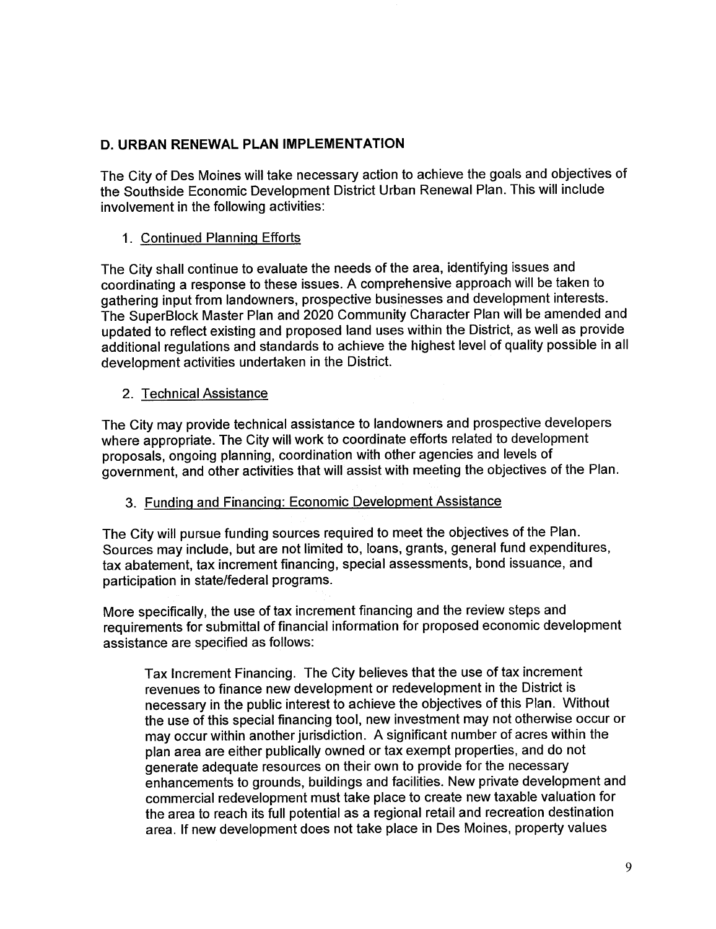# D. URBAN RENEWAL PLAN IMPLEMENTATION

The City of Des Moines will take necessary action to achieve the goals and objectives of the Southside Economic Development District Urban Renewal Plan. This will include involvement in the following activities:

# 1. Continued Planninq Efforts

The City shall continue to evaluate the needs of the area, identifying issues and coordinating a response to these issues. A comprehensive approach will be taken to gathering input from landowners, prospective businesses and development interests. The SuperBlock Master Plan and 2020 Community Character Plan will be amended and updated to reflect existing and proposed land uses within the District, as well as provide additional regulations and standards to achieve the highest level of quality possible in all development activities undertaken in the District.

# 2. Technical Assistance

The City may provide technical assistance to landowners and prospective developers where appropriate. The City will work to coordinate efforts related to development proposals, ongoing planning, coordination with other agencies and levels of government, and other activities that wil assist with meeting the objectives of the Plan.

## 3. Fundinq and Financinq: Economic Development Assistance

The City will pursue funding sources required to meet the objectives of the Plan. Sources may include, but are not limited to, loans, grants, general fund expenditures, tax abatement, tax increment financing, special assessments, bond issuance, and participation in state/federal programs.

More specifically, the use of tax increment financing and the review steps and requirements for submittal of financial information for proposed economic development assistance are specified as follows:

Tax Increment Financing. The City believes that the use of tax increment revenues to finance new development or redevelopment in the District is necessary in the public interest to achieve the objectives of this Plan. Without the use of this special financing tool, new investment may not otherwise occur or may occur within another jurisdiction. A significant number of acres within the plan area are either publically owned or tax exempt properties, and do not generate adequate resources on their own to provide for the necessary enhancements to grounds, buildings and facilities. New private development and commercial redevelopment must take place to create new taxable valuation for the area to reach its full potential as a regional retail and recreation destination area. If new development does not take place in Des Moines, property values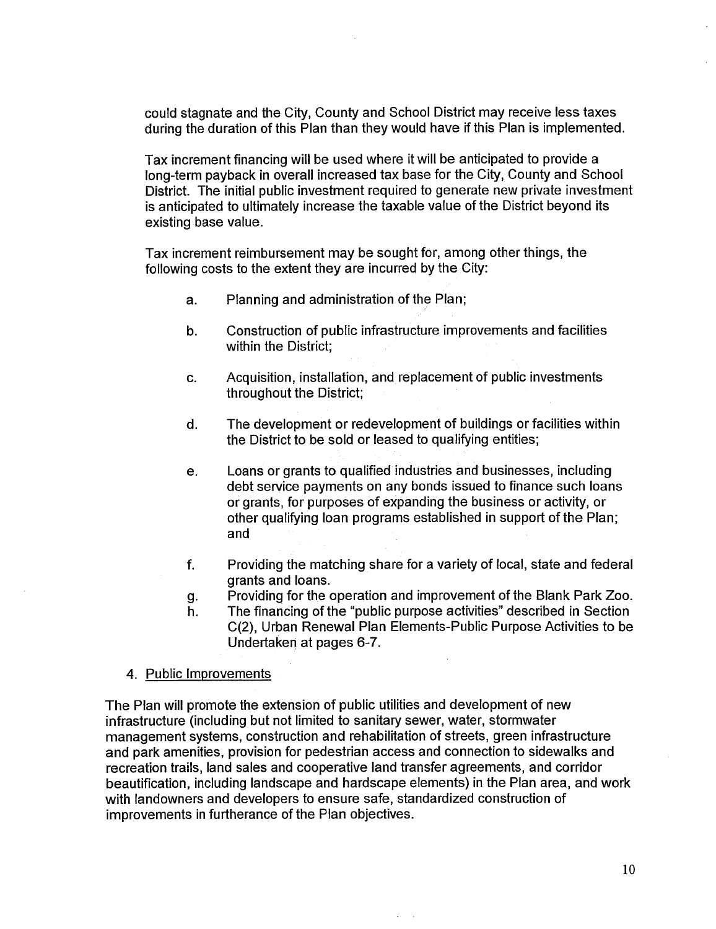could stagnate and the City, County and School District may receive less taxes during the duration of this Plan than they would have if this Plan is implemented.

Tax increment financing wil be used where it will be anticipated to provide a long-term payback in overall increased tax base for the City, County and School District. The initial public investment required to generate new private investment is anticipated to ultimately increase the taxable value of the District beyond its existing base value.

Tax increment reimbursement may be sought for, among other things, the following costs to the extent they are incurred by the City:

- a. Planning and administration of the Plan;
- b. Construction of public infrastructure improvements and facilities within the District;
- c. Acquisition, installation, and replacement of public investments throughout the District;
- d. The development or redevelopment of buildings or facilities within the District to be sold or leased to qualifying entities;
- e. Loans or grants to qualified industries and businesses, including debt service payments on any bonds issued to finance such loans or grants, for purposes of expanding the business or activity, or other qualifying loan programs established in support of the Plan; and
- f. Providing the matching share for a variety of local, state and federal grants and loans.
- g. Providing for the operation and improvement of the Blank Park Zoo.
- h. The financing of the "public purpose activities" described in Section C(2), Urban Renewal Plan Elements-Public Purpose Activities to be Undertaken at pages 6-7.

 $\mathcal{L}_{\mathcal{A}}$ 

4. Public Improvements

The Plan will promote the extension of public utilities and development of new infrastructure (including but not limited to sanitary sewer, water, stormwater management systems, construction and rehabiltation of streets, green infrastructure and park amenities, provision for pedestrian access and connection to sidewalks and recreation trails, land sales and cooperative land transfer agreements, and corridor beautification, including landscape and hardscape elements) in the Plan area, and work with landowners and developers to ensure safe, standardized construction of improvements in furtherance of the Plan objectives.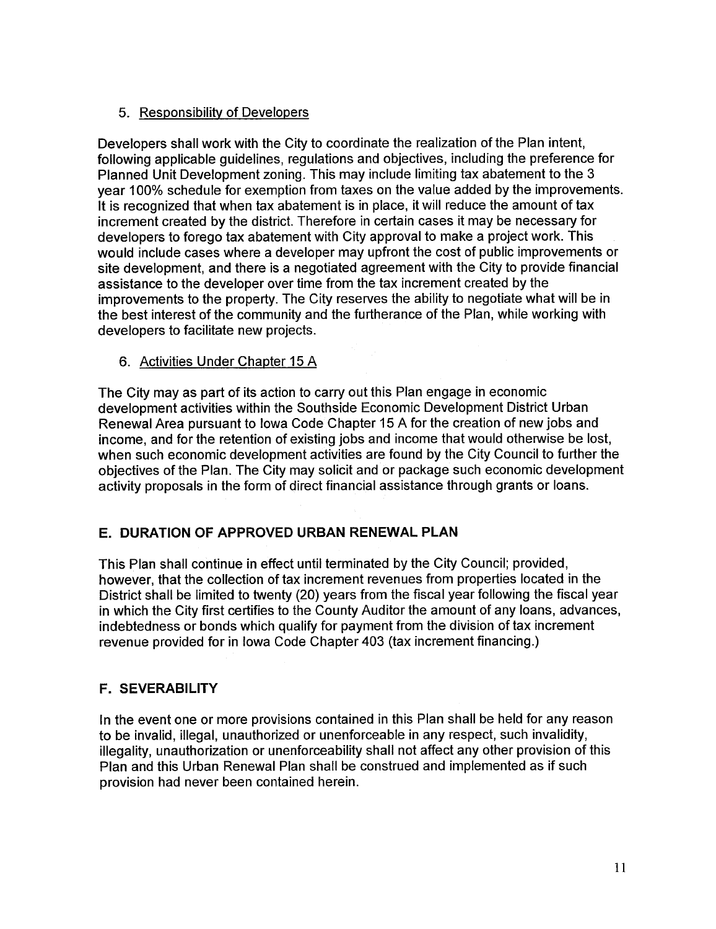# 5. Responsibilty of Developers

Developers shall work with the City to coordinate the realization of the Plan intent, following applicable guidelines, regulations and objectives, including the preference for Planned Unit Development zoning. This may include limiting tax abatement to the 3 year 100% schedule for exemption from taxes on the value added by the improvements. It is recognized that when tax abatement is in place, it will reduce the amount of tax increment created by the district. Therefore in certain cases it may be necessary for developers to forego tax abatement with City approval to make a project work. This would include cases where a developer may upfront the cost of public improvements or site development, and there is a negotiated agreement with the City to provide financial assistance to the developer over time from the tax increment created by the improvements to the property. The City reserves the ability to negotiate what will be in the best interest of the community and the furtherance of the Plan, while working with developers to facilitate new projects.

## 6. Activities Under Chapter 15 A

The City may as part of its action to carry out this Plan engage in economic development activities within the Southside Economic Development District Urban Renewal Area pursuant to Iowa Code Chapter 15 A for the creation of new jobs and income, and for the retention of existing jobs and income that would otherwise be lost, when such economic development activities are found by the City Council to further the objectives of the Plan. The City may solicit and or package such economic development activity proposals in the form of direct financial assistance through grants or loans.

# E. DURATION OF APPROVED URBAN RENEWAL PLAN

This Plan shall continue in effect until terminated by the City Council; provided, however, that the collection of tax increment revenues from properties located in the District shall be limited to twenty (20) years from the fiscal year following the fiscal year in which the City first certifies to the County Auditor the amount of any loans, advances, indebtedness or bonds which qualify for payment from the division of tax increment revenue provided for in Iowa Code Chapter 403 (tax increment financing.)

# F. SEVERABILITY

In the event one or more provisions contained in this Plan shall be held for any reason to be invalid, ilegal, unauthorized or unenforceable in any respect, such invalidity, ilegality, unauthorization or unenforceability shall not affect any other provision of this Plan and this Urban Renewal Plan shall be construed and implemented as if such provision had never been contained herein.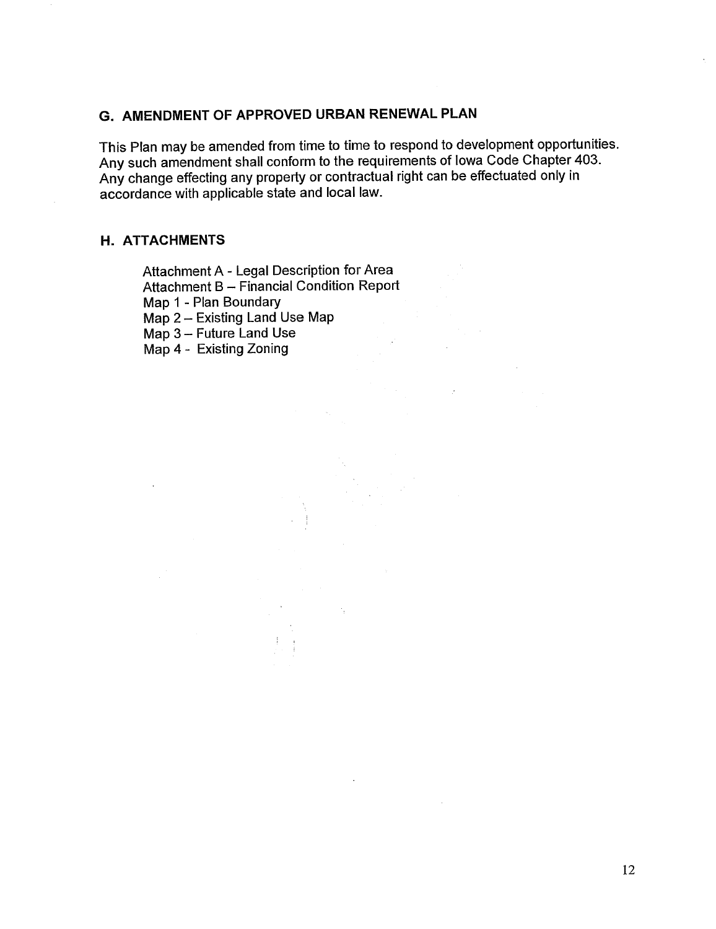# G. AMENDMENT OF APPROVED URBAN RENEWAL PLAN

This Plan may be amended from time to time to respond to development opportunities. Any such amendment shall conform to the requirements of Iowa Code Chapter 403. Any change effecting any property or contractual right can be effectuated only in accordance with applicable state and local law.

#### H. ATTACHMENTS

Attachment A - Legal Description for Area Attachment B - Financial Condition Report Map 1 - Plan Boundary Map 2 - Existing Land Use Map Map 3 - Future Land Use Map 4 - Existing Zoning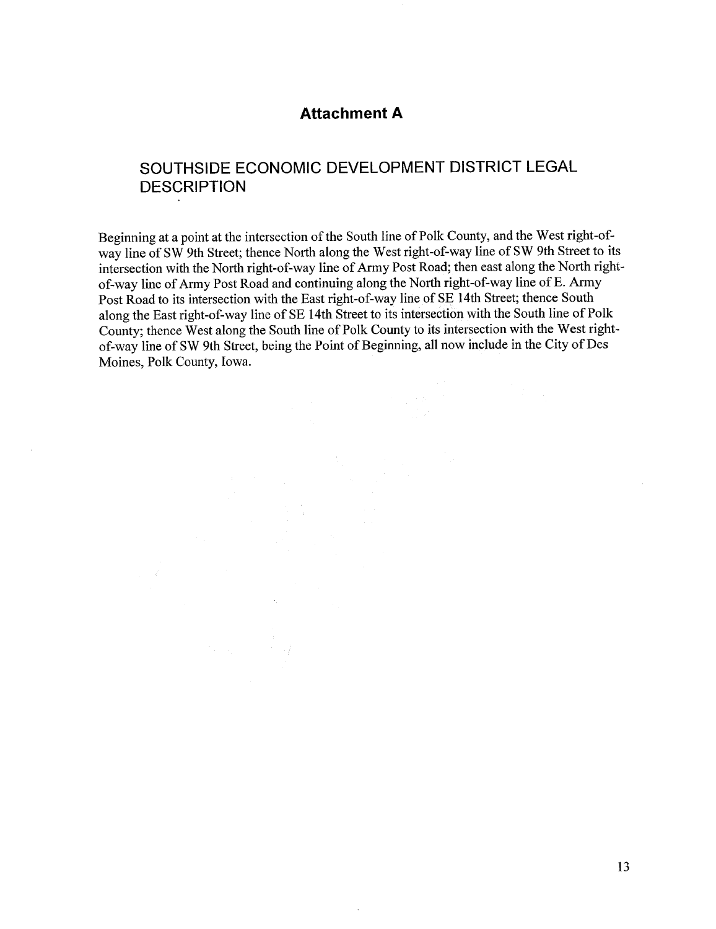## Attachment A

# SOUTHSIDE ECONOMIC DEVELOPMENT DISTRICT LEGAL **DESCRIPTION**

Beginning at a point at the intersection of the South line of Polk County, and the West right-ofway line of SW 9th Street; thence North along the West right-of-way line of SW 9th Street to its intersection with the North right-of-way line of Army Post Road; then east along the North rightof-way line of Army Post Road and continuing along the North right-of-way line of E. Army Post Road to its intersection with the East right-of-way line of SE 14th Street; thence South along the East right-of-way line of SE 14th Street to its intersection with the South line of Polk County; thence West along the South line of Polk County to its intersection with the West rightof-way line of SW 9th Street, being the Point of Beginning, all now include in the City of Des Moines, Polk County, Iowa.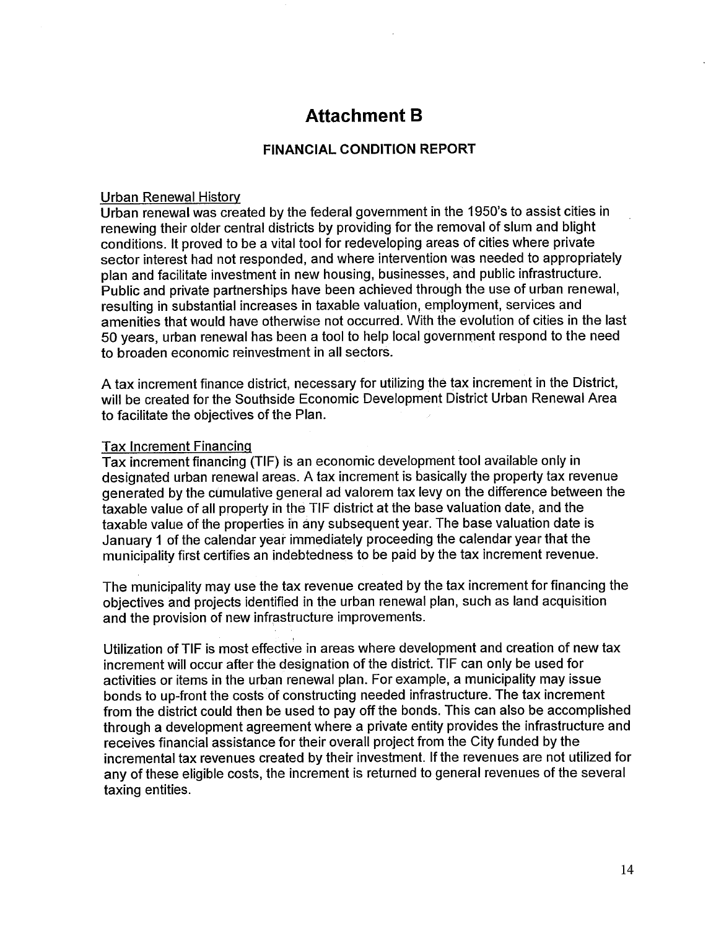# Attachment B

# FINANCIAL CONDITION REPORT

#### Urban Renewal History

Urban renewal was created by the federal government in the 1950's to assist cities in renewing their older central districts by providing for the removal of slum and blight conditions. It proved to be a vital tool for redeveloping areas of cities where private sector interest had not responded, and where intervention was needed to appropriately plan and facilitate investment in new housing, businesses, and public infrastructure. Public and private partnerships have been achieved through the use of urban renewal, resulting in substantial increases in taxable valuation, employment, services and amenities that would have otherwise not occurred. With the evolution of cities in the last 50 years, urban renewal has been a tool to help local government respond to the need<br>to broaden economic reinvestment in all sectors.<br>A tax increment finance district, necessary for utilizing the tax increment in the Distr to broaden economic reinvestment in all sectors.

to facilitate the objectives of the Plan.

#### Tax Increment Financinq

Tax increment financing (TIF) is an economic development tool available only in designated urban renewal areas. A tax increment is basically the property tax revenue generated by the cumulative general ad valorem tax levy on the difference between the taxable value of all property in the TIF district at the base valuation date, and the taxable value of the properties ih ány subsequent year. The base valuation date is January 1 of the calendar year immediately proceeding the calendar year that the municipàlity first certifies an indebtedness to be paid by the tax increment revenue.

The municipality may use the tax revenue created by the tax increment for financing the objectives and projects identified in the urban renewal plan, such as land acquisition and the provision of new infrastructure improvements.

Utiization of TIF is most effective in areas where development and creation of new tax increment will occur after the designation of the district. TIF can only be used for activities or items in the urban renewal plan. For example, a municipality may issue bonds to up-front the costs of constructing needed infrastructure. The tax increment from the district could then be used to payoff the bonds. This can also be accomplished through a development agreement where a private entity provides the infrastructure and receives financial assistance for their overall project from the City funded by the incremental tax revenues created by their investment. If the revenues are not utilized for any of these eligible costs, the increment is returned to general revenues of the several taxing entities.